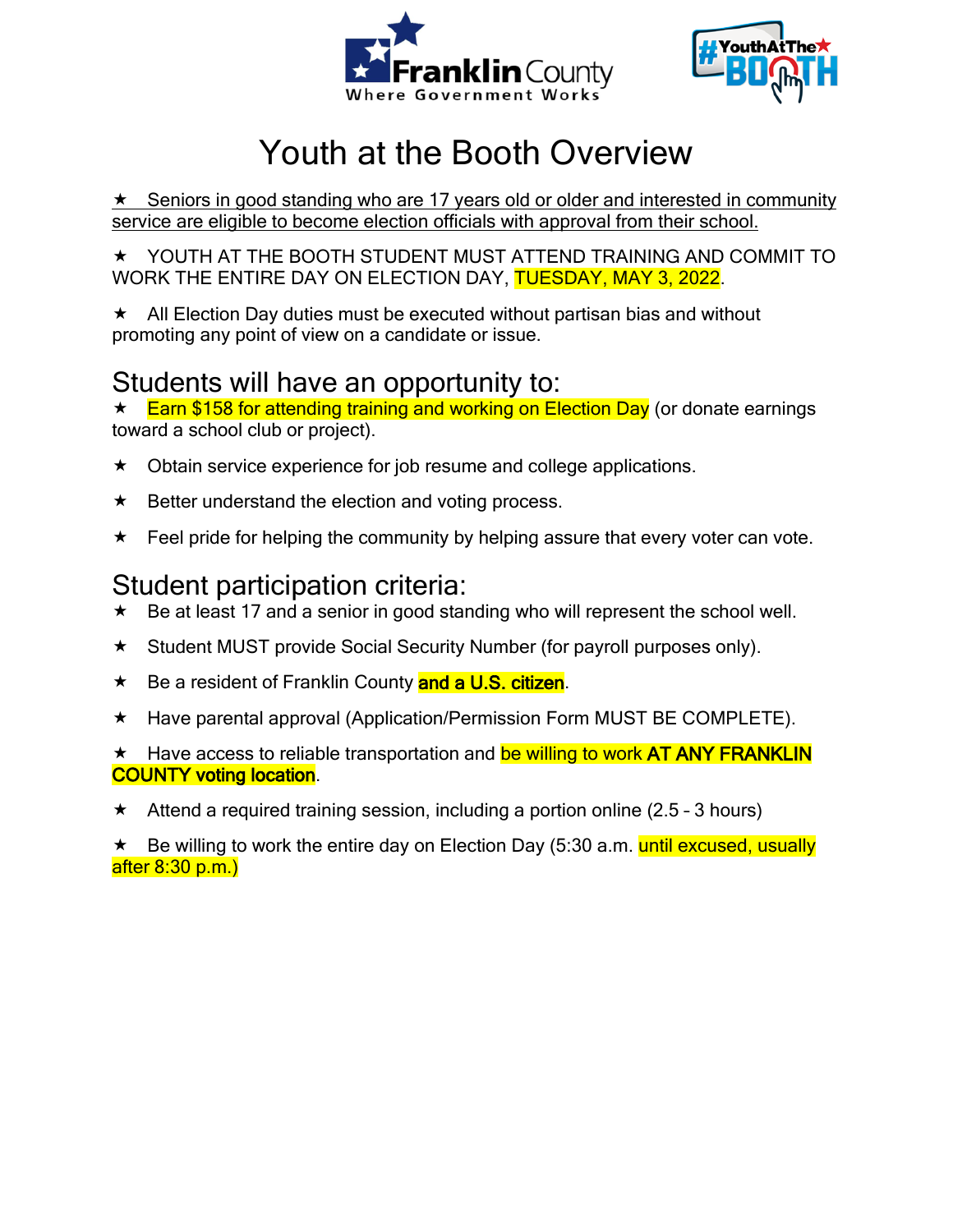



# Youth at the Booth Overview

 $\star$  Seniors in good standing who are 17 years old or older and interested in community service are eligible to become election officials with approval from their school.

 YOUTH AT THE BOOTH STUDENT MUST ATTEND TRAINING AND COMMIT TO WORK THE ENTIRE DAY ON ELECTION DAY, TUESDAY, MAY 3, 2022.

 $\star$  All Election Day duties must be executed without partisan bias and without promoting any point of view on a candidate or issue.

## Students will have an opportunity to:

★ Earn \$158 for attending training and working on Election Day (or donate earnings toward a school club or project).

- $\star$  Obtain service experience for job resume and college applications.
- $\star$  Better understand the election and voting process.
- $\star$  Feel pride for helping the community by helping assure that every voter can vote.

## Student participation criteria:

- Be at least 17 and a senior in good standing who will represent the school well.
- \* Student MUST provide Social Security Number (for payroll purposes only).
- ★ Be a resident of Franklin County and a U.S. citizen.
- \* Have parental approval (Application/Permission Form MUST BE COMPLETE).

\* Have access to reliable transportation and be willing to work AT ANY FRANKLIN COUNTY voting location.

 $\star$  Attend a required training session, including a portion online (2.5 - 3 hours)

\* Be willing to work the entire day on Election Day (5:30 a.m. until excused, usually after 8:30 p.m.)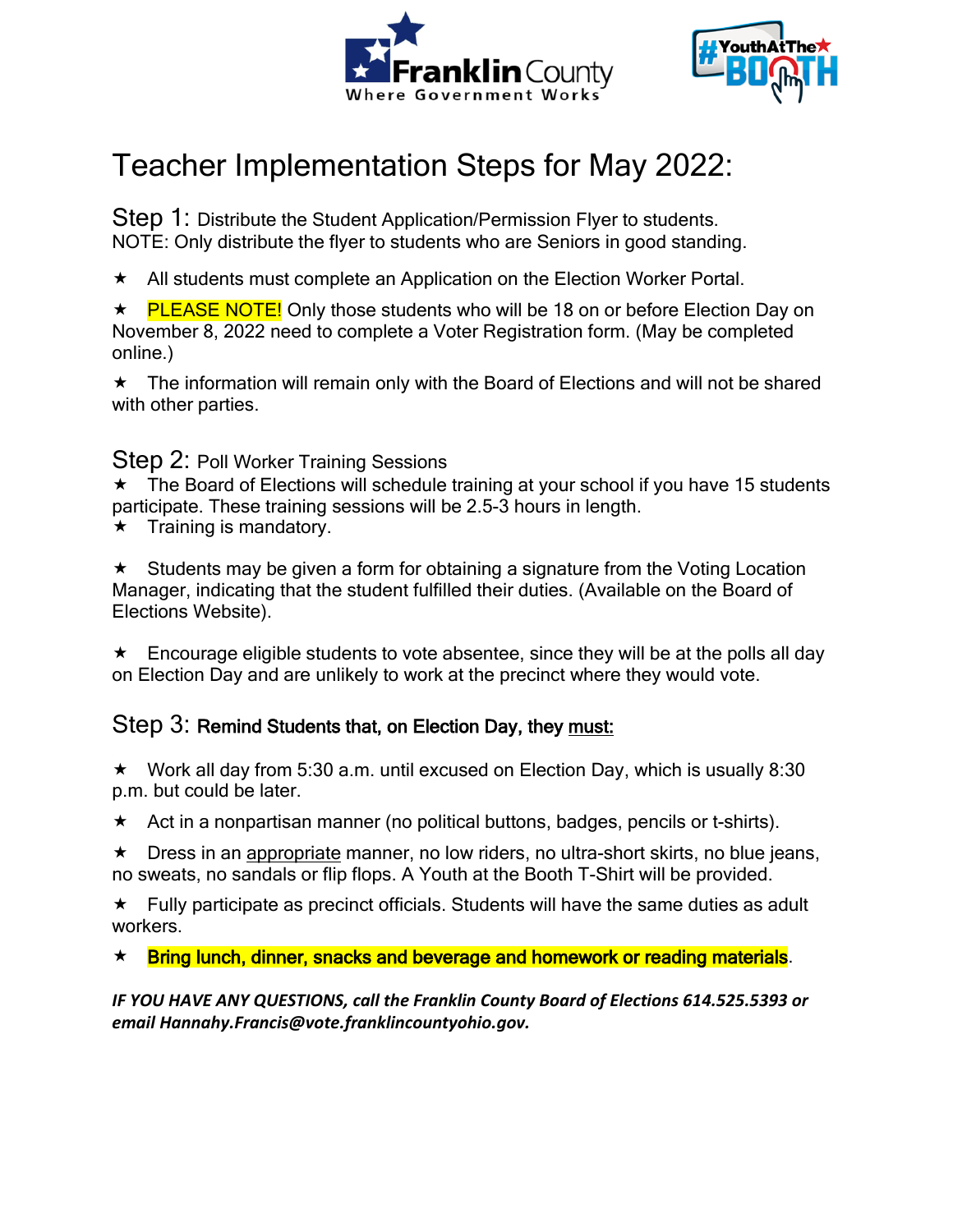



# Teacher Implementation Steps for May 2022:

Step 1: Distribute the Student Application/Permission Flyer to students. NOTE: Only distribute the flyer to students who are Seniors in good standing.

 $\star$  All students must complete an Application on the Election Worker Portal.

★ PLEASE NOTE! Only those students who will be 18 on or before Election Day on November 8, 2022 need to complete a Voter Registration form. (May be completed online.)

 $\star$  The information will remain only with the Board of Elections and will not be shared with other parties.

#### Step 2: Poll Worker Training Sessions

\* The Board of Elections will schedule training at your school if you have 15 students participate. These training sessions will be 2.5-3 hours in length.

 $\star$  Training is mandatory.

 $\star$  Students may be given a form for obtaining a signature from the Voting Location Manager, indicating that the student fulfilled their duties. (Available on the Board of Elections Website).

 $\star$  Encourage eligible students to vote absentee, since they will be at the polls all day on Election Day and are unlikely to work at the precinct where they would vote.

#### Step 3: Remind Students that, on Election Day, they must:

 $\star$  Work all day from 5:30 a.m. until excused on Election Day, which is usually 8:30 p.m. but could be later.

 $\star$  Act in a nonpartisan manner (no political buttons, badges, pencils or t-shirts).

 Dress in an appropriate manner, no low riders, no ultra-short skirts, no blue jeans, no sweats, no sandals or flip flops. A Youth at the Booth T-Shirt will be provided.

 $\star$  Fully participate as precinct officials. Students will have the same duties as adult workers.

\* Bring lunch, dinner, snacks and beverage and homework or reading materials.

*IF YOU HAVE ANY QUESTIONS, call the Franklin County Board of Elections 614.525.5393 or email Hannahy.Francis@vote.franklincountyohio.gov.*